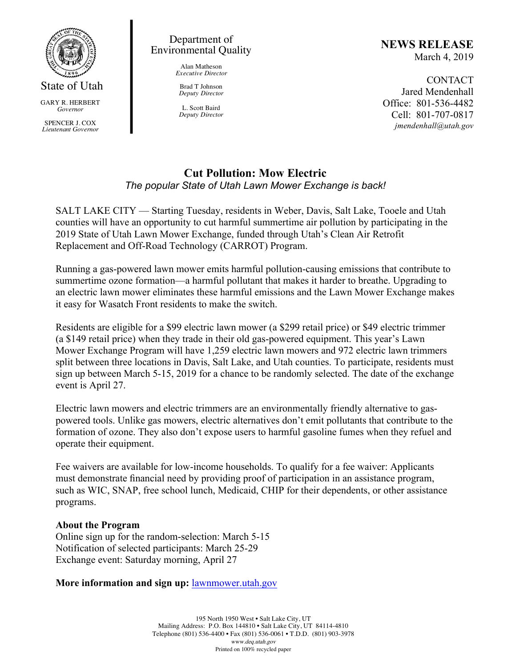

GARY R. HERBERT *Governor*

SPENCER J. COX *Lieutenant Governor*

### Department of Environmental Quality

Alan Matheson *Executive Director*

Brad T Johnson *Deputy Director*

L. Scott Baird *Deputy Director*

### **NEWS RELEASE** March 4, 2019

CONTACT Jared Mendenhall Office: 801-536-4482 Cell: 801-707-0817 *jmendenhall@utah.gov*

# **Cut Pollution: Mow Electric** *The popular State of Utah Lawn Mower Exchange is back!*

SALT LAKE CITY — Starting Tuesday, residents in Weber, Davis, Salt Lake, Tooele and Utah counties will have an opportunity to cut harmful summertime air pollution by participating in the 2019 State of Utah Lawn Mower Exchange, funded through Utah's Clean Air Retrofit Replacement and Off-Road Technology (CARROT) Program.

Running a gas-powered lawn mower emits harmful pollution-causing emissions that contribute to summertime ozone formation—a harmful pollutant that makes it harder to breathe. Upgrading to an electric lawn mower eliminates these harmful emissions and the Lawn Mower Exchange makes it easy for Wasatch Front residents to make the switch.

Residents are eligible for a \$99 electric lawn mower (a \$299 retail price) or \$49 electric trimmer (a \$149 retail price) when they trade in their old gas-powered equipment. This year's Lawn Mower Exchange Program will have 1,259 electric lawn mowers and 972 electric lawn trimmers split between three locations in Davis, Salt Lake, and Utah counties. To participate, residents must sign up between March 5-15, 2019 for a chance to be randomly selected. The date of the exchange event is April 27.

Electric lawn mowers and electric trimmers are an environmentally friendly alternative to gaspowered tools. Unlike gas mowers, electric alternatives don't emit pollutants that contribute to the formation of ozone. They also don't expose users to harmful gasoline fumes when they refuel and operate their equipment.

Fee waivers are available for low-income households. To qualify for a fee waiver: Applicants must demonstrate financial need by providing proof of participation in an assistance program, such as WIC, SNAP, free school lunch, Medicaid, CHIP for their dependents, or other assistance programs.

## **About the Program**

Online sign up for the random-selection: March 5-15 Notification of selected participants: March 25-29 Exchange event: Saturday morning, April 27

**More information and sign up:** lawnmower.utah.gov